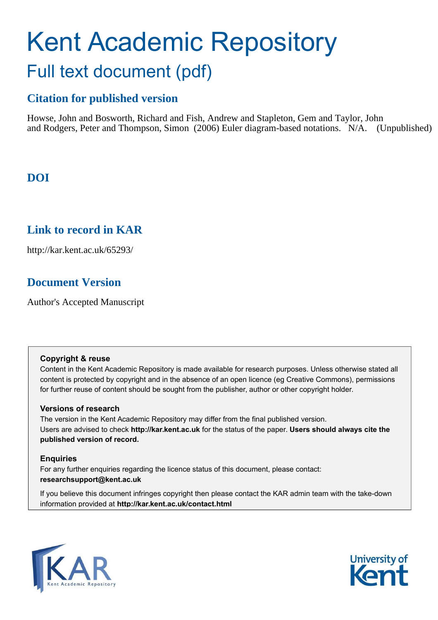# Kent Academic Repository Full text document (pdf)

# **Citation for published version**

Howse, John and Bosworth, Richard and Fish, Andrew and Stapleton, Gem and Taylor, John and Rodgers, Peter and Thompson, Simon (2006) Euler diagram-based notations. N/A. (Unpublished)

# **DOI**

# **Link to record in KAR**

http://kar.kent.ac.uk/65293/

# **Document Version**

Author's Accepted Manuscript

## **Copyright & reuse**

Content in the Kent Academic Repository is made available for research purposes. Unless otherwise stated all content is protected by copyright and in the absence of an open licence (eg Creative Commons), permissions for further reuse of content should be sought from the publisher, author or other copyright holder.

## **Versions of research**

The version in the Kent Academic Repository may differ from the final published version. Users are advised to check **http://kar.kent.ac.uk** for the status of the paper. **Users should always cite the published version of record.**

## **Enquiries**

For any further enquiries regarding the licence status of this document, please contact: **researchsupport@kent.ac.uk**

If you believe this document infringes copyright then please contact the KAR admin team with the take-down information provided at **http://kar.kent.ac.uk/contact.html**



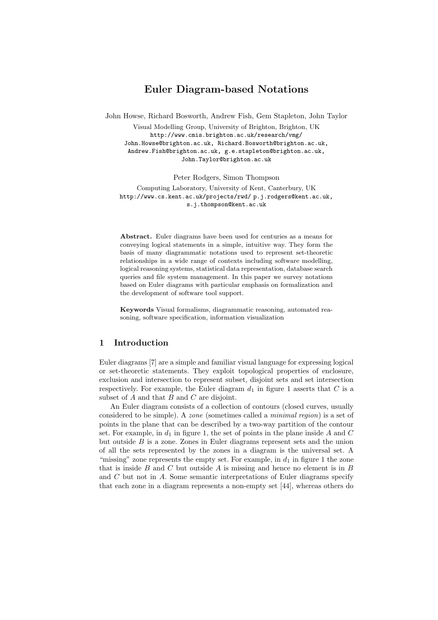# Euler Diagram-based Notations

John Howse, Richard Bosworth, Andrew Fish, Gem Stapleton, John Taylor

Visual Modelling Group, University of Brighton, Brighton, UK http://www.cmis.brighton.ac.uk/research/vmg/ John.Howse@brighton.ac.uk, Richard.Bosworth@brighton.ac.uk, Andrew.Fish@brighton.ac.uk, g.e.stapleton@brighton.ac.uk, John.Taylor@brighton.ac.uk

Peter Rodgers, Simon Thompson

Computing Laboratory, University of Kent, Canterbury, UK http://www.cs.kent.ac.uk/projects/rwd/ p.j.rodgers@kent.ac.uk, s.j.thompson@kent.ac.uk

Abstract. Euler diagrams have been used for centuries as a means for conveying logical statements in a simple, intuitive way. They form the basis of many diagrammatic notations used to represent set-theoretic relationships in a wide range of contexts including software modelling, logical reasoning systems, statistical data representation, database search queries and file system management. In this paper we survey notations based on Euler diagrams with particular emphasis on formalization and the development of software tool support.

Keywords Visual formalisms, diagrammatic reasoning, automated reasoning, software specification, information visualization

#### 1 Introduction

Euler diagrams [7] are a simple and familiar visual language for expressing logical or set-theoretic statements. They exploit topological properties of enclosure, exclusion and intersection to represent subset, disjoint sets and set intersection respectively. For example, the Euler diagram  $d_1$  in figure 1 asserts that C is a subset of  $A$  and that  $B$  and  $C$  are disjoint.

An Euler diagram consists of a collection of contours (closed curves, usually considered to be simple). A zone (sometimes called a minimal region) is a set of points in the plane that can be described by a two-way partition of the contour set. For example, in  $d_1$  in figure 1, the set of points in the plane inside A and C but outside  $B$  is a zone. Zones in Euler diagrams represent sets and the union of all the sets represented by the zones in a diagram is the universal set. A "missing" zone represents the empty set. For example, in  $d_1$  in figure 1 the zone that is inside B and C but outside A is missing and hence no element is in B and C but not in A. Some semantic interpretations of Euler diagrams specify that each zone in a diagram represents a non-empty set [44], whereas others do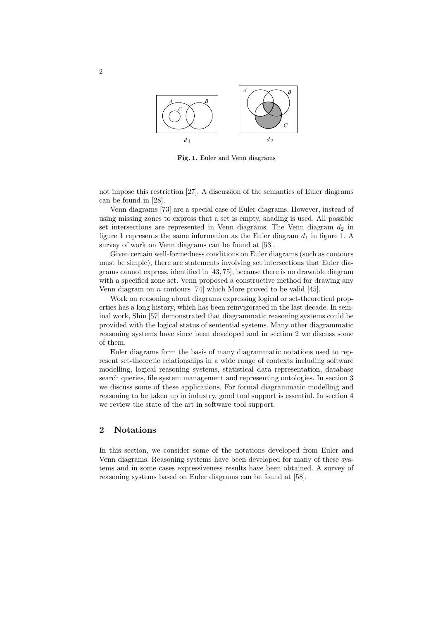

Fig. 1. Euler and Venn diagrams

not impose this restriction [27]. A discussion of the semantics of Euler diagrams can be found in [28].

Venn diagrams [73] are a special case of Euler diagrams. However, instead of using missing zones to express that a set is empty, shading is used. All possible set intersections are represented in Venn diagrams. The Venn diagram  $d_2$  in figure 1 represents the same information as the Euler diagram  $d_1$  in figure 1. A survey of work on Venn diagrams can be found at [53].

Given certain well-formedness conditions on Euler diagrams (such as contours must be simple), there are statements involving set intersections that Euler diagrams cannot express, identified in [43, 75], because there is no drawable diagram with a specified zone set. Venn proposed a constructive method for drawing any Venn diagram on  $n$  contours [74] which More proved to be valid [45].

Work on reasoning about diagrams expressing logical or set-theoretical properties has a long history, which has been reinvigorated in the last decade. In seminal work, Shin [57] demonstrated that diagrammatic reasoning systems could be provided with the logical status of sentential systems. Many other diagrammatic reasoning systems have since been developed and in section 2 we discuss some of them.

Euler diagrams form the basis of many diagrammatic notations used to represent set-theoretic relationships in a wide range of contexts including software modelling, logical reasoning systems, statistical data representation, database search queries, file system management and representing ontologies. In section 3 we discuss some of these applications. For formal diagrammatic modelling and reasoning to be taken up in industry, good tool support is essential. In section 4 we review the state of the art in software tool support.

## 2 Notations

In this section, we consider some of the notations developed from Euler and Venn diagrams. Reasoning systems have been developed for many of these systems and in some cases expressiveness results have been obtained. A survey of reasoning systems based on Euler diagrams can be found at [58].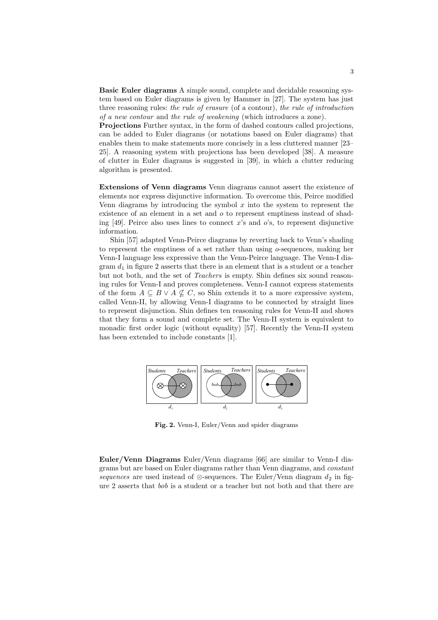Basic Euler diagrams A simple sound, complete and decidable reasoning system based on Euler diagrams is given by Hammer in [27]. The system has just three reasoning rules: the rule of erasure (of a contour), the rule of introduction of a new contour and the rule of weakening (which introduces a zone).

Projections Further syntax, in the form of dashed contours called projections, can be added to Euler diagrams (or notations based on Euler diagrams) that enables them to make statements more concisely in a less cluttered manner [23– 25]. A reasoning system with projections has been developed [38]. A measure of clutter in Euler diagrams is suggested in [39], in which a clutter reducing algorithm is presented.

Extensions of Venn diagrams Venn diagrams cannot assert the existence of elements nor express disjunctive information. To overcome this, Peirce modified Venn diagrams by introducing the symbol  $x$  into the system to represent the existence of an element in a set and o to represent emptiness instead of shading [49]. Peirce also uses lines to connect x's and  $\sigma$ 's, to represent disjunctive information.

Shin [57] adapted Venn-Peirce diagrams by reverting back to Venn's shading to represent the emptiness of a set rather than using o-sequences, making her Venn-I language less expressive than the Venn-Peirce language. The Venn-I diagram  $d_1$  in figure 2 asserts that there is an element that is a student or a teacher but not both, and the set of Teachers is empty. Shin defines six sound reasoning rules for Venn-I and proves completeness. Venn-I cannot express statements of the form  $A \subseteq B \vee A \nsubseteq C$ , so Shin extends it to a more expressive system, called Venn-II, by allowing Venn-I diagrams to be connected by straight lines to represent disjunction. Shin defines ten reasoning rules for Venn-II and shows that they form a sound and complete set. The Venn-II system is equivalent to monadic first order logic (without equality) [57]. Recently the Venn-II system has been extended to include constants [1].



Fig. 2. Venn-I, Euler/Venn and spider diagrams

Euler/Venn Diagrams Euler/Venn diagrams [66] are similar to Venn-I diagrams but are based on Euler diagrams rather than Venn diagrams, and constant sequences are used instead of ⊗-sequences. The Euler/Venn diagram  $d_2$  in figure 2 asserts that bob is a student or a teacher but not both and that there are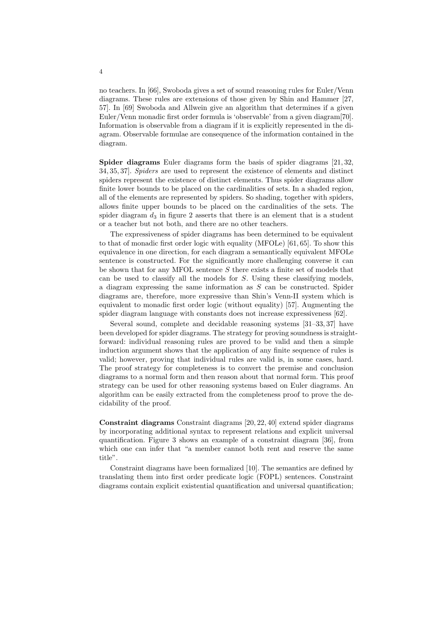no teachers. In [66], Swoboda gives a set of sound reasoning rules for Euler/Venn diagrams. These rules are extensions of those given by Shin and Hammer [27, 57]. In [69] Swoboda and Allwein give an algorithm that determines if a given Euler/Venn monadic first order formula is 'observable' from a given diagram[70]. Information is observable from a diagram if it is explicitly represented in the diagram. Observable formulae are consequence of the information contained in the diagram.

Spider diagrams Euler diagrams form the basis of spider diagrams [21, 32, 34, 35, 37]. Spiders are used to represent the existence of elements and distinct spiders represent the existence of distinct elements. Thus spider diagrams allow finite lower bounds to be placed on the cardinalities of sets. In a shaded region, all of the elements are represented by spiders. So shading, together with spiders, allows finite upper bounds to be placed on the cardinalities of the sets. The spider diagram  $d_3$  in figure 2 asserts that there is an element that is a student or a teacher but not both, and there are no other teachers.

The expressiveness of spider diagrams has been determined to be equivalent to that of monadic first order logic with equality (MFOLe) [61, 65]. To show this equivalence in one direction, for each diagram a semantically equivalent MFOLe sentence is constructed. For the significantly more challenging converse it can be shown that for any MFOL sentence  $S$  there exists a finite set of models that can be used to classify all the models for S. Using these classifying models, a diagram expressing the same information as  $S$  can be constructed. Spider diagrams are, therefore, more expressive than Shin's Venn-II system which is equivalent to monadic first order logic (without equality) [57]. Augmenting the spider diagram language with constants does not increase expressiveness [62].

Several sound, complete and decidable reasoning systems [31–33, 37] have been developed for spider diagrams. The strategy for proving soundness is straightforward: individual reasoning rules are proved to be valid and then a simple induction argument shows that the application of any finite sequence of rules is valid; however, proving that individual rules are valid is, in some cases, hard. The proof strategy for completeness is to convert the premise and conclusion diagrams to a normal form and then reason about that normal form. This proof strategy can be used for other reasoning systems based on Euler diagrams. An algorithm can be easily extracted from the completeness proof to prove the decidability of the proof.

Constraint diagrams Constraint diagrams [20, 22, 40] extend spider diagrams by incorporating additional syntax to represent relations and explicit universal quantification. Figure 3 shows an example of a constraint diagram [36], from which one can infer that "a member cannot both rent and reserve the same title".

Constraint diagrams have been formalized [10]. The semantics are defined by translating them into first order predicate logic (FOPL) sentences. Constraint diagrams contain explicit existential quantification and universal quantification;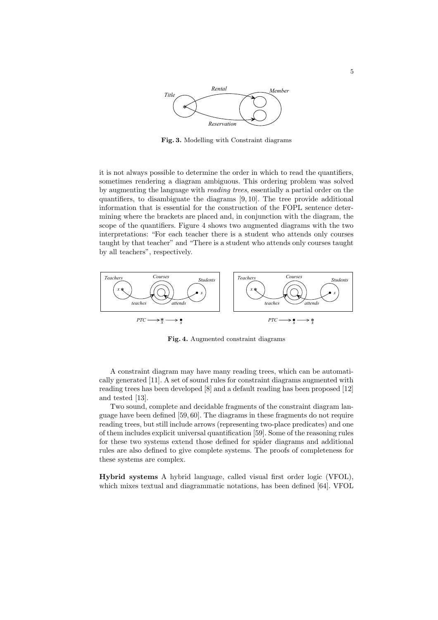

Fig. 3. Modelling with Constraint diagrams

it is not always possible to determine the order in which to read the quantifiers, sometimes rendering a diagram ambiguous. This ordering problem was solved by augmenting the language with reading trees, essentially a partial order on the quantifiers, to disambiguate the diagrams [9, 10]. The tree provide additional information that is essential for the construction of the FOPL sentence determining where the brackets are placed and, in conjunction with the diagram, the scope of the quantifiers. Figure 4 shows two augmented diagrams with the two interpretations: "For each teacher there is a student who attends only courses taught by that teacher" and "There is a student who attends only courses taught by all teachers", respectively.



Fig. 4. Augmented constraint diagrams

A constraint diagram may have many reading trees, which can be automatically generated [11]. A set of sound rules for constraint diagrams augmented with reading trees has been developed [8] and a default reading has been proposed [12] and tested [13].

Two sound, complete and decidable fragments of the constraint diagram language have been defined [59, 60]. The diagrams in these fragments do not require reading trees, but still include arrows (representing two-place predicates) and one of them includes explicit universal quantification [59]. Some of the reasoning rules for these two systems extend those defined for spider diagrams and additional rules are also defined to give complete systems. The proofs of completeness for these systems are complex.

Hybrid systems A hybrid language, called visual first order logic (VFOL), which mixes textual and diagrammatic notations, has been defined [64]. VFOL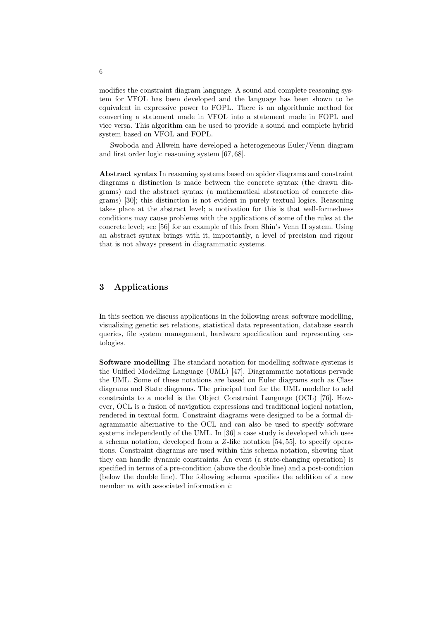modifies the constraint diagram language. A sound and complete reasoning system for VFOL has been developed and the language has been shown to be equivalent in expressive power to FOPL. There is an algorithmic method for converting a statement made in VFOL into a statement made in FOPL and vice versa. This algorithm can be used to provide a sound and complete hybrid system based on VFOL and FOPL.

Swoboda and Allwein have developed a heterogeneous Euler/Venn diagram and first order logic reasoning system [67, 68].

Abstract syntax In reasoning systems based on spider diagrams and constraint diagrams a distinction is made between the concrete syntax (the drawn diagrams) and the abstract syntax (a mathematical abstraction of concrete diagrams) [30]; this distinction is not evident in purely textual logics. Reasoning takes place at the abstract level; a motivation for this is that well-formedness conditions may cause problems with the applications of some of the rules at the concrete level; see [56] for an example of this from Shin's Venn II system. Using an abstract syntax brings with it, importantly, a level of precision and rigour that is not always present in diagrammatic systems.

#### 3 Applications

In this section we discuss applications in the following areas: software modelling, visualizing genetic set relations, statistical data representation, database search queries, file system management, hardware specification and representing ontologies.

Software modelling The standard notation for modelling software systems is the Unified Modelling Language (UML) [47]. Diagrammatic notations pervade the UML. Some of these notations are based on Euler diagrams such as Class diagrams and State diagrams. The principal tool for the UML modeller to add constraints to a model is the Object Constraint Language (OCL) [76]. However, OCL is a fusion of navigation expressions and traditional logical notation, rendered in textual form. Constraint diagrams were designed to be a formal diagrammatic alternative to the OCL and can also be used to specify software systems independently of the UML. In [36] a case study is developed which uses a schema notation, developed from a Z-like notation [54, 55], to specify operations. Constraint diagrams are used within this schema notation, showing that they can handle dynamic constraints. An event (a state-changing operation) is specified in terms of a pre-condition (above the double line) and a post-condition (below the double line). The following schema specifies the addition of a new member  $m$  with associated information  $i$ :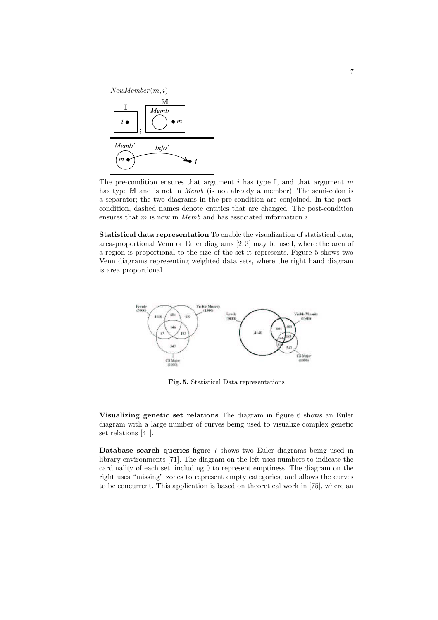

The pre-condition ensures that argument i has type  $\mathbb{I}$ , and that argument m has type M and is not in *Memb* (is not already a member). The semi-colon is a separator; the two diagrams in the pre-condition are conjoined. In the postcondition, dashed names denote entities that are changed. The post-condition ensures that  $m$  is now in  $Memb$  and has associated information  $i$ .

Statistical data representation To enable the visualization of statistical data, area-proportional Venn or Euler diagrams [2, 3] may be used, where the area of a region is proportional to the size of the set it represents. Figure 5 shows two Venn diagrams representing weighted data sets, where the right hand diagram is area proportional.



Fig. 5. Statistical Data representations

Visualizing genetic set relations The diagram in figure 6 shows an Euler diagram with a large number of curves being used to visualize complex genetic set relations [41].

Database search queries figure 7 shows two Euler diagrams being used in library environments [71]. The diagram on the left uses numbers to indicate the cardinality of each set, including 0 to represent emptiness. The diagram on the right uses "missing" zones to represent empty categories, and allows the curves to be concurrent. This application is based on theoretical work in [75], where an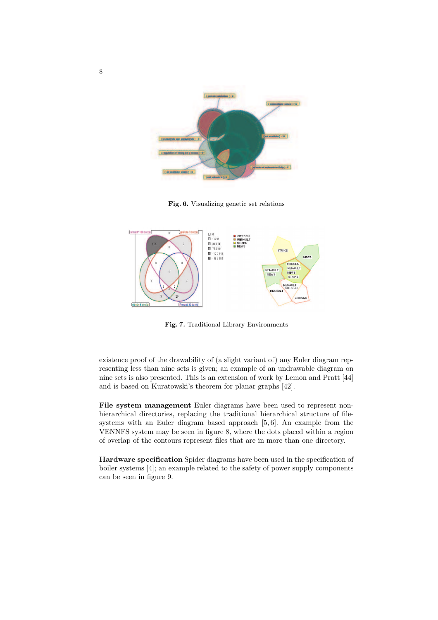

Fig. 6. Visualizing genetic set relations



Fig. 7. Traditional Library Environments

existence proof of the drawability of (a slight variant of) any Euler diagram representing less than nine sets is given; an example of an undrawable diagram on nine sets is also presented. This is an extension of work by Lemon and Pratt [44] and is based on Kuratowski's theorem for planar graphs [42].

File system management Euler diagrams have been used to represent nonhierarchical directories, replacing the traditional hierarchical structure of filesystems with an Euler diagram based approach [5, 6]. An example from the VENNFS system may be seen in figure 8, where the dots placed within a region of overlap of the contours represent files that are in more than one directory.

Hardware specification Spider diagrams have been used in the specification of boiler systems [4]; an example related to the safety of power supply components can be seen in figure 9.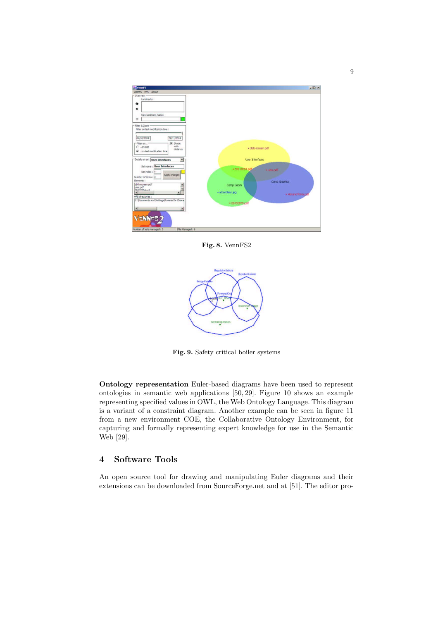

Fig. 8. VennFS2



Fig. 9. Safety critical boiler systems

Ontology representation Euler-based diagrams have been used to represent ontologies in semantic web applications [50, 29]. Figure 10 shows an example representing specified values in OWL, the Web Ontology Language. This diagram is a variant of a constraint diagram. Another example can be seen in figure 11 from a new environment COE, the Collaborative Ontology Environment, for capturing and formally representing expert knowledge for use in the Semantic Web [29].

### 4 Software Tools

An open source tool for drawing and manipulating Euler diagrams and their extensions can be downloaded from SourceForge.net and at [51]. The editor pro-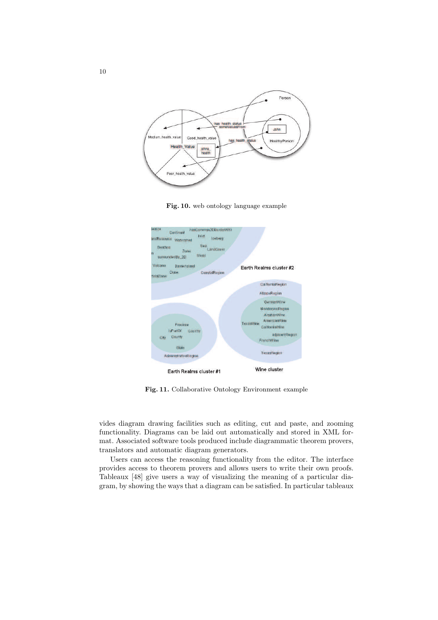

Fig. 10. web ontology language example



Fig. 11. Collaborative Ontology Environment example

vides diagram drawing facilities such as editing, cut and paste, and zooming functionality. Diagrams can be laid out automatically and stored in XML format. Associated software tools produced include diagrammatic theorem provers, translators and automatic diagram generators.

Users can access the reasoning functionality from the editor. The interface provides access to theorem provers and allows users to write their own proofs. Tableaux [48] give users a way of visualizing the meaning of a particular diagram, by showing the ways that a diagram can be satisfied. In particular tableaux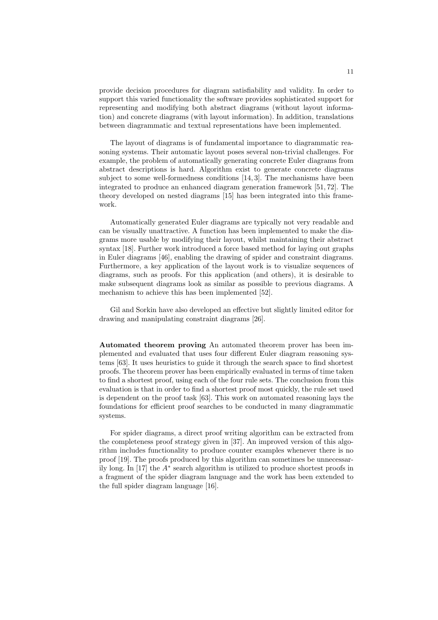provide decision procedures for diagram satisfiability and validity. In order to support this varied functionality the software provides sophisticated support for representing and modifying both abstract diagrams (without layout information) and concrete diagrams (with layout information). In addition, translations between diagrammatic and textual representations have been implemented.

The layout of diagrams is of fundamental importance to diagrammatic reasoning systems. Their automatic layout poses several non-trivial challenges. For example, the problem of automatically generating concrete Euler diagrams from abstract descriptions is hard. Algorithm exist to generate concrete diagrams subject to some well-formedness conditions [14, 3]. The mechanisms have been integrated to produce an enhanced diagram generation framework [51, 72]. The theory developed on nested diagrams [15] has been integrated into this framework.

Automatically generated Euler diagrams are typically not very readable and can be visually unattractive. A function has been implemented to make the diagrams more usable by modifying their layout, whilst maintaining their abstract syntax [18]. Further work introduced a force based method for laying out graphs in Euler diagrams [46], enabling the drawing of spider and constraint diagrams. Furthermore, a key application of the layout work is to visualize sequences of diagrams, such as proofs. For this application (and others), it is desirable to make subsequent diagrams look as similar as possible to previous diagrams. A mechanism to achieve this has been implemented [52].

Gil and Sorkin have also developed an effective but slightly limited editor for drawing and manipulating constraint diagrams [26].

Automated theorem proving An automated theorem prover has been implemented and evaluated that uses four different Euler diagram reasoning systems [63]. It uses heuristics to guide it through the search space to find shortest proofs. The theorem prover has been empirically evaluated in terms of time taken to find a shortest proof, using each of the four rule sets. The conclusion from this evaluation is that in order to find a shortest proof most quickly, the rule set used is dependent on the proof task [63]. This work on automated reasoning lays the foundations for efficient proof searches to be conducted in many diagrammatic systems.

For spider diagrams, a direct proof writing algorithm can be extracted from the completeness proof strategy given in [37]. An improved version of this algorithm includes functionality to produce counter examples whenever there is no proof [19]. The proofs produced by this algorithm can sometimes be unnecessarily long. In [17] the  $A^*$  search algorithm is utilized to produce shortest proofs in a fragment of the spider diagram language and the work has been extended to the full spider diagram language [16].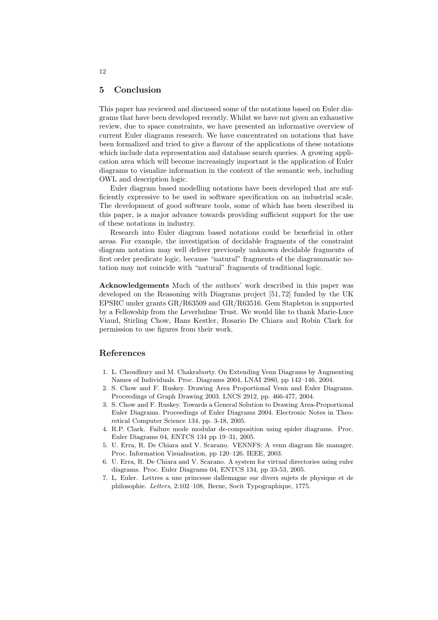#### 5 Conclusion

This paper has reviewed and discussed some of the notations based on Euler diagrams that have been developed recently. Whilst we have not given an exhaustive review, due to space constraints, we have presented an informative overview of current Euler diagrams research. We have concentrated on notations that have been formalized and tried to give a flavour of the applications of these notations which include data representation and database search queries. A growing application area which will become increasingly important is the application of Euler diagrams to visualize information in the context of the semantic web, including OWL and description logic.

Euler diagram based modelling notations have been developed that are sufficiently expressive to be used in software specification on an industrial scale. The development of good software tools, some of which has been described in this paper, is a major advance towards providing sufficient support for the use of these notations in industry.

Research into Euler diagram based notations could be beneficial in other areas. For example, the investigation of decidable fragments of the constraint diagram notation may well deliver previously unknown decidable fragments of first order predicate logic, because "natural" fragments of the diagrammatic notation may not coincide with "natural" fragments of traditional logic.

Acknowledgements Much of the authors' work described in this paper was developed on the Reasoning with Diagrams project [51, 72] funded by the UK EPSRC under grants GR/R63509 and GR/R63516. Gem Stapleton is supported by a Fellowship from the Leverhulme Trust. We would like to thank Marie-Luce Viaud, Stirling Chow, Hans Kestler, Rosario De Chiara and Robin Clark for permission to use figures from their work.

#### References

- 1. L. Choudhury and M. Chakraborty. On Extending Venn Diagrams by Augmenting Names of Individuals. Proc. Diagrams 2004, LNAI 2980, pp 142–146, 2004.
- 2. S. Chow and F. Ruskey. Drawing Area Proportional Venn and Euler Diagrams. Proceedings of Graph Drawing 2003. LNCS 2912, pp. 466-477, 2004.
- 3. S. Chow and F. Ruskey. Towards a General Solution to Drawing Area-Proportional Euler Diagrams. Proceedings of Euler Diagrams 2004. Electronic Notes in Theoretical Computer Science 134, pp. 3-18, 2005.
- 4. R.P. Clark. Failure mode modular de-composition using spider diagrams. Proc. Euler Diagrams 04, ENTCS 134 pp 19–31, 2005.
- 5. U. Erra, R. De Chiara and V. Scarano. VENNFS: A venn diagram file manager. Proc. Information Visualisation, pp 120–126. IEEE, 2003.
- 6. U. Erra, R. De Chiara and V. Scarano. A system for virtual directories using euler diagrams. Proc. Euler Diagrams 04, ENTCS 134, pp 33-53, 2005.
- 7. L. Euler. Lettres a une princesse dallemagne sur divers sujets de physique et de philosophie. Letters, 2:102–108, Berne, Socit Typographique, 1775.

12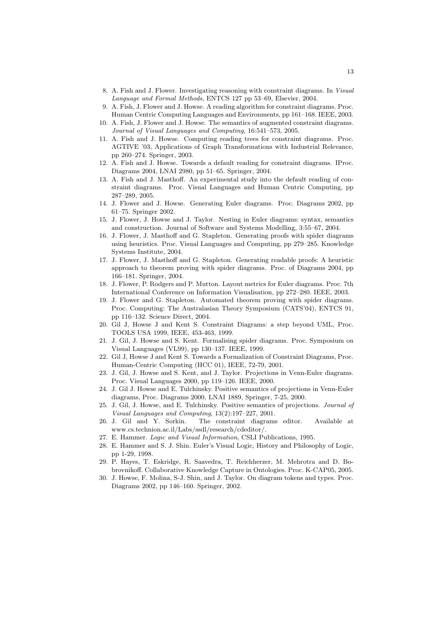- 8. A. Fish and J. Flower. Investigating reasoning with constraint diagrams. In Visual Language and Formal Methods, ENTCS 127 pp 53–69, Elsevier, 2004.
- 9. A. Fish, J. Flower and J. Howse. A reading algorithm for constraint diagrams. Proc. Human Centric Computing Languages and Environments, pp 161–168. IEEE, 2003.
- 10. A. Fish, J. Flower and J. Howse. The semantics of augmented constraint diagrams. Journal of Visual Languages and Computing, 16:541–573, 2005.
- 11. A. Fish and J. Howse. Computing reading trees for constraint diagrams. Proc. AGTIVE '03, Applications of Graph Transformations with Industrial Relevance, pp 260–274. Springer, 2003.
- 12. A. Fish and J. Howse. Towards a default reading for constraint diagrams. IProc. Diagrams 2004, LNAI 2980, pp 51–65. Springer, 2004.
- 13. A. Fish and J. Masthoff. An experimental study into the default reading of constraint diagrams. Proc. Visual Languages and Human Centric Computing, pp 287–289, 2005.
- 14. J. Flower and J. Howse. Generating Euler diagrams. Proc. Diagrams 2002, pp 61–75. Springer 2002.
- 15. J. Flower, J. Howse and J. Taylor. Nesting in Euler diagrams: syntax, semantics and construction. Journal of Software and Systems Modelling, 3:55–67, 2004.
- 16. J. Flower, J. Masthoff and G. Stapleton. Generating proofs with spider diagrams using heuristics. Proc. Visual Languages and Computing, pp 279–285. Knowledge Systems Institute, 2004.
- 17. J. Flower, J. Masthoff and G. Stapleton. Generating readable proofs: A heuristic approach to theorem proving with spider diagrams. Proc. of Diagrams 2004, pp 166–181. Springer, 2004.
- 18. J. Flower, P. Rodgers and P. Mutton. Layout metrics for Euler diagrams. Proc. 7th International Conference on Information Visualisation, pp 272–280. IEEE, 2003.
- 19. J. Flower and G. Stapleton. Automated theorem proving with spider diagrams. Proc. Computing: The Australasian Theory Symposium (CATS'04), ENTCS 91, pp 116–132. Science Direct, 2004.
- 20. Gil J, Howse J and Kent S. Constraint Diagrams: a step beyond UML, Proc. TOOLS USA 1999, IEEE, 453-463, 1999.
- 21. J. Gil, J. Howse and S. Kent. Formalising spider diagrams. Proc. Symposium on Visual Languages (VL99), pp 130–137. IEEE, 1999.
- 22. Gil J, Howse J and Kent S. Towards a Formalization of Constraint Diagrams, Proc. Human-Centric Computing (HCC 01), IEEE, 72-79, 2001.
- 23. J. Gil, J. Howse and S. Kent, and J. Taylor. Projections in Venn-Euler diagrams. Proc. Visual Languages 2000, pp 119–126. IEEE, 2000.
- 24. J. Gil J. Howse and E. Tulchinsky. Positive semantics of projections in Venn-Euler diagrams, Proc. Diagrams 2000, LNAI 1889, Springer, 7-25, 2000.
- 25. J. Gil, J. Howse, and E. Tulchinsky. Positive semantics of projections. Journal of Visual Languages and Computing, 13(2):197–227, 2001.
- 26. J. Gil and Y. Sorkin. The constraint diagrams editor. Available at www.cs.technion.ac.il/Labs/ssdl/research/cdeditor/.
- 27. E. Hammer. Logic and Visual Information, CSLI Publications, 1995.
- 28. E. Hammer and S. J. Shin. Euler's Visual Logic, History and Philosophy of Logic, pp 1-29, 1998.
- 29. P. Hayes, T. Eskridge, R. Saavedra, T. Reichherzer, M. Mehrotra and D. Bobrovnikoff. Collaborative Knowledge Capture in Ontologies. Proc. K-CAP05, 2005.
- 30. J. Howse, F. Molina, S-J. Shin, and J. Taylor. On diagram tokens and types. Proc. Diagrams 2002, pp 146–160. Springer, 2002.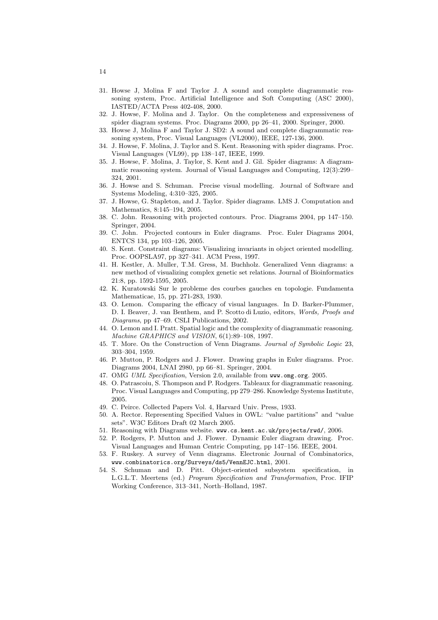- 31. Howse J, Molina F and Taylor J. A sound and complete diagrammatic reasoning system, Proc. Artificial Intelligence and Soft Computing (ASC 2000), IASTED/ACTA Press 402-408, 2000.
- 32. J. Howse, F. Molina and J. Taylor. On the completeness and expressiveness of spider diagram systems. Proc. Diagrams 2000, pp 26–41, 2000. Springer, 2000.
- 33. Howse J, Molina F and Taylor J. SD2: A sound and complete diagrammatic reasoning system, Proc. Visual Languages (VL2000), IEEE, 127-136, 2000.
- 34. J. Howse, F. Molina, J. Taylor and S. Kent. Reasoning with spider diagrams. Proc. Visual Languages (VL99), pp 138–147, IEEE, 1999.
- 35. J. Howse, F. Molina, J. Taylor, S. Kent and J. Gil. Spider diagrams: A diagrammatic reasoning system. Journal of Visual Languages and Computing, 12(3):299– 324, 2001.
- 36. J. Howse and S. Schuman. Precise visual modelling. Journal of Software and Systems Modeling, 4:310–325, 2005.
- 37. J. Howse, G. Stapleton, and J. Taylor. Spider diagrams. LMS J. Computation and Mathematics, 8:145–194, 2005.
- 38. C. John. Reasoning with projected contours. Proc. Diagrams 2004, pp 147–150. Springer, 2004.
- 39. C. John. Projected contours in Euler diagrams. Proc. Euler Diagrams 2004, ENTCS 134, pp 103–126, 2005.
- 40. S. Kent. Constraint diagrams: Visualizing invariants in object oriented modelling. Proc. OOPSLA97, pp 327–341. ACM Press, 1997.
- 41. H. Kestler, A. Muller, T.M. Gress, M. Buchholz. Generalized Venn diagrams: a new method of visualizing complex genetic set relations. Journal of Bioinformatics 21:8, pp. 1592-1595, 2005.
- 42. K. Kuratowski Sur le probleme des courbes gauches en topologie. Fundamenta Mathematicae, 15, pp. 271-283, 1930.
- 43. O. Lemon. Comparing the efficacy of visual languages. In D. Barker-Plummer, D. I. Beaver, J. van Benthem, and P. Scotto di Luzio, editors, Words, Proofs and Diagrams, pp 47–69. CSLI Publications, 2002.
- 44. O. Lemon and I. Pratt. Spatial logic and the complexity of diagrammatic reasoning. Machine GRAPHICS and VISION, 6(1):89–108, 1997.
- 45. T. More. On the Construction of Venn Diagrams. Journal of Symbolic Logic 23, 303–304, 1959.
- 46. P. Mutton, P. Rodgers and J. Flower. Drawing graphs in Euler diagrams. Proc. Diagrams 2004, LNAI 2980, pp 66–81. Springer, 2004.
- 47. OMG UML Specification, Version 2.0, available from www.omg.org. 2005.
- 48. O. Patrascoiu, S. Thompson and P. Rodgers. Tableaux for diagrammatic reasoning. Proc. Visual Languages and Computing, pp 279–286. Knowledge Systems Institute, 2005.
- 49. C. Peirce. Collected Papers Vol. 4, Harvard Univ. Press, 1933.
- 50. A. Rector. Representing Specified Values in OWL: "value partitions" and "value sets". W3C Editors Draft 02 March 2005.
- 51. Reasoning with Diagrams website. www.cs.kent.ac.uk/projects/rwd/, 2006.
- 52. P. Rodgers, P. Mutton and J. Flower. Dynamic Euler diagram drawing. Proc. Visual Languages and Human Centric Computing, pp 147–156. IEEE, 2004.
- 53. F. Ruskey. A survey of Venn diagrams. Electronic Journal of Combinatorics, www.combinatorics.org/Surveys/ds5/VennEJC.html, 2001.
- 54. S. Schuman and D. Pitt. Object-oriented subsystem specification, in L.G.L.T. Meertens (ed.) Program Specification and Transformation, Proc. IFIP Working Conference, 313–341, North–Holland, 1987.

14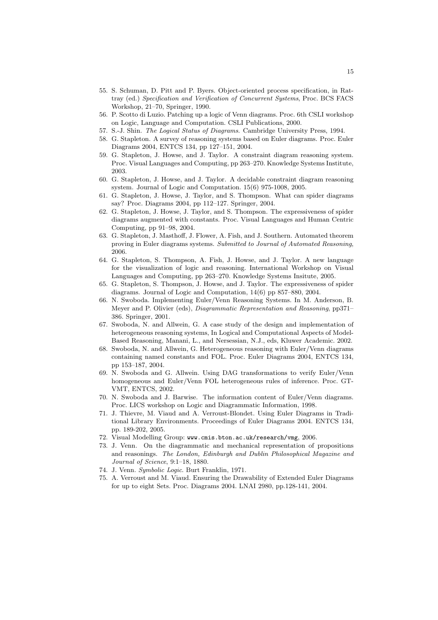- 55. S. Schuman, D. Pitt and P. Byers. Object-oriented process specification, in Rattray (ed.) Specification and Verification of Concurrent Systems, Proc. BCS FACS Workshop, 21–70, Springer, 1990.
- 56. P. Scotto di Luzio. Patching up a logic of Venn diagrams. Proc. 6th CSLI workshop on Logic, Language and Computation. CSLI Publications, 2000.
- 57. S.-J. Shin. The Logical Status of Diagrams. Cambridge University Press, 1994.
- 58. G. Stapleton. A survey of reasoning systems based on Euler diagrams. Proc. Euler Diagrams 2004, ENTCS 134, pp 127–151, 2004.
- 59. G. Stapleton, J. Howse, and J. Taylor. A constraint diagram reasoning system. Proc. Visual Languages and Computing, pp 263–270. Knowledge Systems Institute, 2003.
- 60. G. Stapleton, J. Howse, and J. Taylor. A decidable constraint diagram reasoning system. Journal of Logic and Computation. 15(6) 975-1008, 2005.
- 61. G. Stapleton, J. Howse, J. Taylor, and S. Thompson. What can spider diagrams say? Proc. Diagrams 2004, pp 112–127. Springer, 2004.
- 62. G. Stapleton, J. Howse, J. Taylor, and S. Thompson. The expressiveness of spider diagrams augmented with constants. Proc. Visual Languages and Human Centric Computing, pp 91–98, 2004.
- 63. G. Stapleton, J. Masthoff, J. Flower, A. Fish, and J. Southern. Automated theorem proving in Euler diagrams systems. Submitted to Journal of Automated Reasoning, 2006.
- 64. G. Stapleton, S. Thompson, A. Fish, J. Howse, and J. Taylor. A new language for the visualization of logic and reasoning. International Workshop on Visual Languages and Computing, pp 263–270. Knowledge Systems Insitute, 2005.
- 65. G. Stapleton, S. Thompson, J. Howse, and J. Taylor. The expressiveness of spider diagrams. Journal of Logic and Computation, 14(6) pp 857–880, 2004.
- 66. N. Swoboda. Implementing Euler/Venn Reasoning Systems. In M. Anderson, B. Meyer and P. Olivier (eds), Diagrammatic Representation and Reasoning, pp371– 386. Springer, 2001.
- 67. Swoboda, N. and Allwein, G. A case study of the design and implementation of heterogeneous reasoning systems, In Logical and Computational Aspects of Model-Based Reasoning, Manani, L., and Nersessian, N.J., eds, Kluwer Academic. 2002.
- 68. Swoboda, N. and Allwein, G. Heterogeneous reasoning with Euler/Venn diagrams containing named constants and FOL. Proc. Euler Diagrams 2004, ENTCS 134, pp 153–187, 2004.
- 69. N. Swoboda and G. Allwein. Using DAG transformations to verify Euler/Venn homogeneous and Euler/Venn FOL heterogeneous rules of inference. Proc. GT-VMT, ENTCS, 2002.
- 70. N. Swoboda and J. Barwise. The information content of Euler/Venn diagrams. Proc. LICS workshop on Logic and Diagrammatic Information, 1998.
- 71. J. Thievre, M. Viaud and A. Verroust-Blondet. Using Euler Diagrams in Traditional Library Environments. Proceedings of Euler Diagrams 2004. ENTCS 134, pp. 189-202, 2005.
- 72. Visual Modelling Group: www.cmis.bton.ac.uk/research/vmg, 2006.
- 73. J. Venn. On the diagrammatic and mechanical representation of propositions and reasonings. The London, Edinburgh and Dublin Philosophical Magazine and Journal of Science, 9:1–18, 1880.
- 74. J. Venn. Symbolic Logic. Burt Franklin, 1971.
- 75. A. Verroust and M. Viaud. Ensuring the Drawability of Extended Euler Diagrams for up to eight Sets. Proc. Diagrams 2004. LNAI 2980, pp.128-141, 2004.